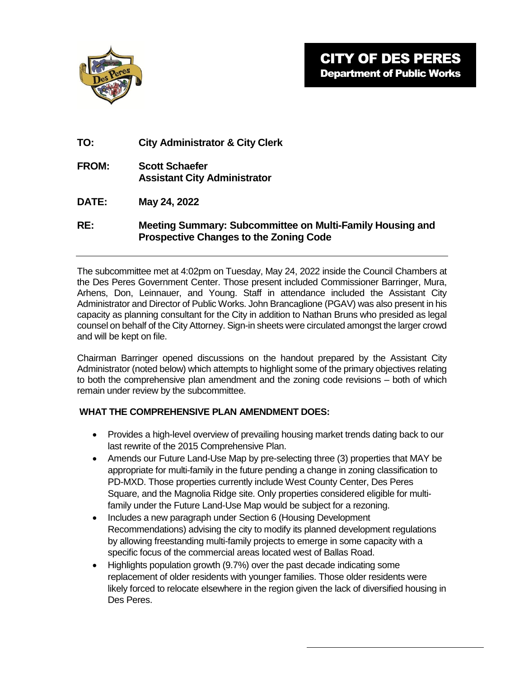

- **TO: City Administrator & City Clerk**
- **FROM: Scott Schaefer Assistant City Administrator**
- **DATE: May 24, 2022**
- **RE: Meeting Summary: Subcommittee on Multi-Family Housing and Prospective Changes to the Zoning Code**

The subcommittee met at 4:02pm on Tuesday, May 24, 2022 inside the Council Chambers at the Des Peres Government Center. Those present included Commissioner Barringer, Mura, Arhens, Don, Leinnauer, and Young. Staff in attendance included the Assistant City Administrator and Director of Public Works. John Brancaglione (PGAV) was also present in his capacity as planning consultant for the City in addition to Nathan Bruns who presided as legal counsel on behalf of the City Attorney. Sign-in sheets were circulated amongst the larger crowd and will be kept on file.

Chairman Barringer opened discussions on the handout prepared by the Assistant City Administrator (noted below) which attempts to highlight some of the primary objectives relating to both the comprehensive plan amendment and the zoning code revisions – both of which remain under review by the subcommittee.

## **WHAT THE COMPREHENSIVE PLAN AMENDMENT DOES:**

- Provides a high-level overview of prevailing housing market trends dating back to our last rewrite of the 2015 Comprehensive Plan.
- Amends our Future Land-Use Map by pre-selecting three (3) properties that MAY be appropriate for multi-family in the future pending a change in zoning classification to PD-MXD. Those properties currently include West County Center, Des Peres Square, and the Magnolia Ridge site. Only properties considered eligible for multifamily under the Future Land-Use Map would be subject for a rezoning.
- Includes a new paragraph under Section 6 (Housing Development Recommendations) advising the city to modify its planned development regulations by allowing freestanding multi-family projects to emerge in some capacity with a specific focus of the commercial areas located west of Ballas Road.
- Highlights population growth (9.7%) over the past decade indicating some replacement of older residents with younger families. Those older residents were likely forced to relocate elsewhere in the region given the lack of diversified housing in Des Peres.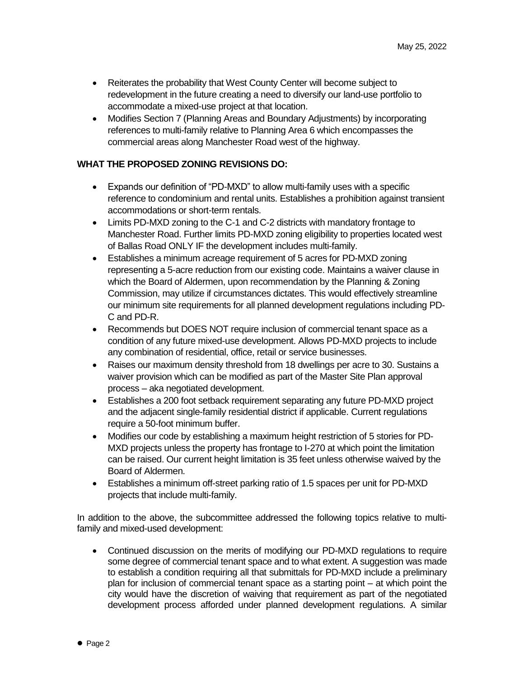- Reiterates the probability that West County Center will become subject to redevelopment in the future creating a need to diversify our land-use portfolio to accommodate a mixed-use project at that location.
- Modifies Section 7 (Planning Areas and Boundary Adjustments) by incorporating references to multi-family relative to Planning Area 6 which encompasses the commercial areas along Manchester Road west of the highway.

## **WHAT THE PROPOSED ZONING REVISIONS DO:**

- Expands our definition of "PD-MXD" to allow multi-family uses with a specific reference to condominium and rental units. Establishes a prohibition against transient accommodations or short-term rentals.
- Limits PD-MXD zoning to the C-1 and C-2 districts with mandatory frontage to Manchester Road. Further limits PD-MXD zoning eligibility to properties located west of Ballas Road ONLY IF the development includes multi-family.
- Establishes a minimum acreage requirement of 5 acres for PD-MXD zoning representing a 5-acre reduction from our existing code. Maintains a waiver clause in which the Board of Aldermen, upon recommendation by the Planning & Zoning Commission, may utilize if circumstances dictates. This would effectively streamline our minimum site requirements for all planned development regulations including PD-C and PD-R.
- Recommends but DOES NOT require inclusion of commercial tenant space as a condition of any future mixed-use development. Allows PD-MXD projects to include any combination of residential, office, retail or service businesses.
- Raises our maximum density threshold from 18 dwellings per acre to 30. Sustains a waiver provision which can be modified as part of the Master Site Plan approval process – aka negotiated development.
- Establishes a 200 foot setback requirement separating any future PD-MXD project and the adjacent single-family residential district if applicable. Current regulations require a 50-foot minimum buffer.
- Modifies our code by establishing a maximum height restriction of 5 stories for PD-MXD projects unless the property has frontage to I-270 at which point the limitation can be raised. Our current height limitation is 35 feet unless otherwise waived by the Board of Aldermen.
- Establishes a minimum off-street parking ratio of 1.5 spaces per unit for PD-MXD projects that include multi-family.

In addition to the above, the subcommittee addressed the following topics relative to multifamily and mixed-used development:

 Continued discussion on the merits of modifying our PD-MXD regulations to require some degree of commercial tenant space and to what extent. A suggestion was made to establish a condition requiring all that submittals for PD-MXD include a preliminary plan for inclusion of commercial tenant space as a starting point – at which point the city would have the discretion of waiving that requirement as part of the negotiated development process afforded under planned development regulations. A similar